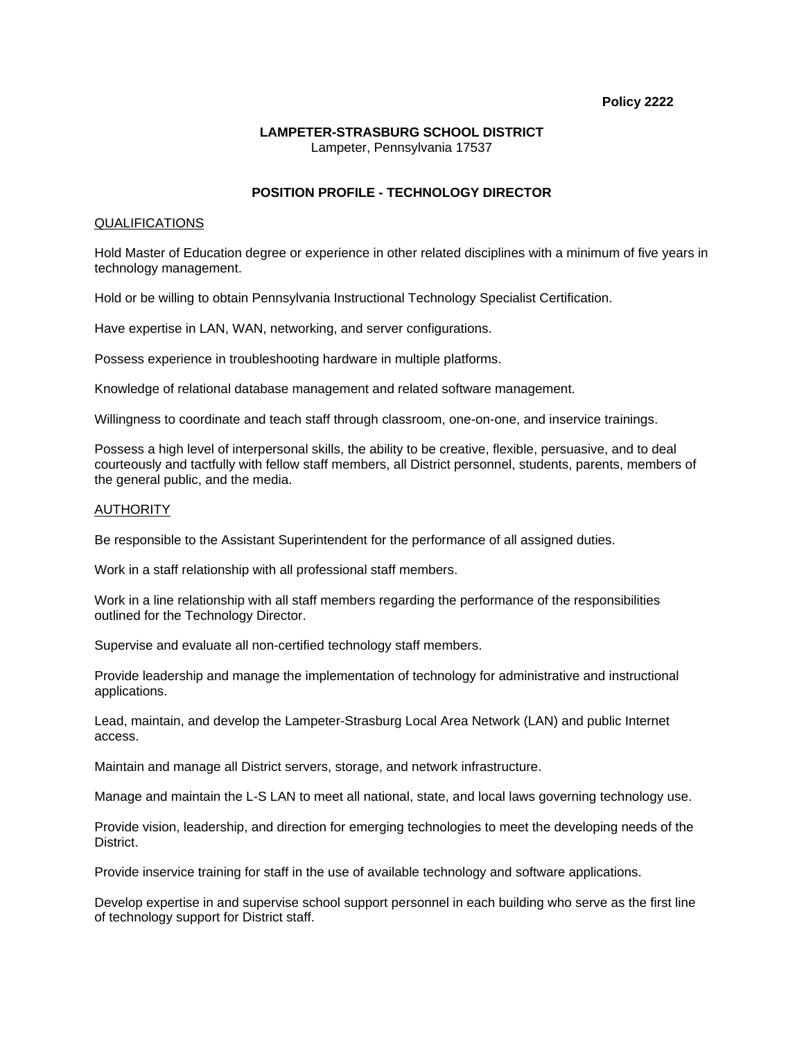### **Policy 2222**

### **LAMPETER-STRASBURG SCHOOL DISTRICT**  Lampeter, Pennsylvania 17537

# **POSITION PROFILE - TECHNOLOGY DIRECTOR**

### QUALIFICATIONS

Hold Master of Education degree or experience in other related disciplines with a minimum of five years in technology management.

Hold or be willing to obtain Pennsylvania Instructional Technology Specialist Certification.

Have expertise in LAN, WAN, networking, and server configurations.

Possess experience in troubleshooting hardware in multiple platforms.

Knowledge of relational database management and related software management.

Willingness to coordinate and teach staff through classroom, one-on-one, and inservice trainings.

Possess a high level of interpersonal skills, the ability to be creative, flexible, persuasive, and to deal courteously and tactfully with fellow staff members, all District personnel, students, parents, members of the general public, and the media.

### **AUTHORITY**

Be responsible to the Assistant Superintendent for the performance of all assigned duties.

Work in a staff relationship with all professional staff members.

Work in a line relationship with all staff members regarding the performance of the responsibilities outlined for the Technology Director.

Supervise and evaluate all non-certified technology staff members.

Provide leadership and manage the implementation of technology for administrative and instructional applications.

Lead, maintain, and develop the Lampeter-Strasburg Local Area Network (LAN) and public Internet access.

Maintain and manage all District servers, storage, and network infrastructure.

Manage and maintain the L-S LAN to meet all national, state, and local laws governing technology use.

Provide vision, leadership, and direction for emerging technologies to meet the developing needs of the District.

Provide inservice training for staff in the use of available technology and software applications.

Develop expertise in and supervise school support personnel in each building who serve as the first line of technology support for District staff.